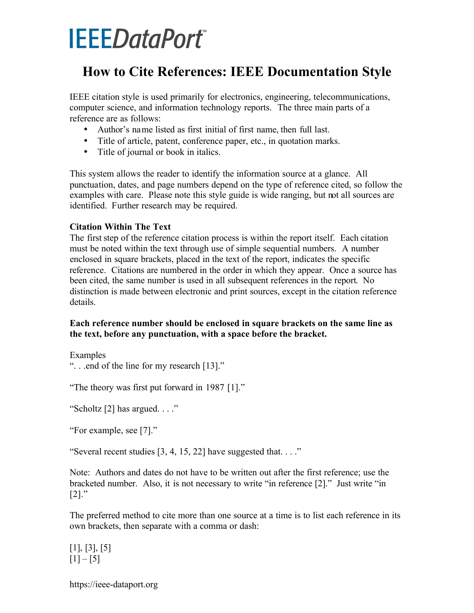# **IEEEDataPort**

# **How to Cite References: IEEE Documentation Style**

IEEE citation style is used primarily for electronics, engineering, telecommunications, computer science, and information technology reports. The three main parts of a reference are as follows:

- Author's name listed as first initial of first name, then full last.
- Title of article, patent, conference paper, etc., in quotation marks.
- Title of journal or book in italics.

This system allows the reader to identify the information source at a glance. All punctuation, dates, and page numbers depend on the type of reference cited, so follow the examples with care. Please note this style guide is wide ranging, but not all sources are identified. Further research may be required.

#### **Citation Within The Text**

The first step of the reference citation process is within the report itself. Each citation must be noted within the text through use of simple sequential numbers. A number enclosed in square brackets, placed in the text of the report, indicates the specific reference. Citations are numbered in the order in which they appear. Once a source has been cited, the same number is used in all subsequent references in the report. No distinction is made between electronic and print sources, except in the citation reference details.

#### **Each reference number should be enclosed in square brackets on the same line as the text, before any punctuation, with a space before the bracket.**

**Examples** 

```
". . .end of the line for my research [13]."
```
"The theory was first put forward in 1987 [1]."

"Scholtz [2] has argued. . . ."

"For example, see [7]."

"Several recent studies  $[3, 4, 15, 22]$  have suggested that...."

Note: Authors and dates do not have to be written out after the first reference; use the bracketed number. Also, it is not necessary to write "in reference [2]." Just write "in  $[2]$ ."

The preferred method to cite more than one source at a time is to list each reference in its own brackets, then separate with a comma or dash:

[1], [3], [5]  $[1] - [5]$ 

<https://ieee-dataport.org>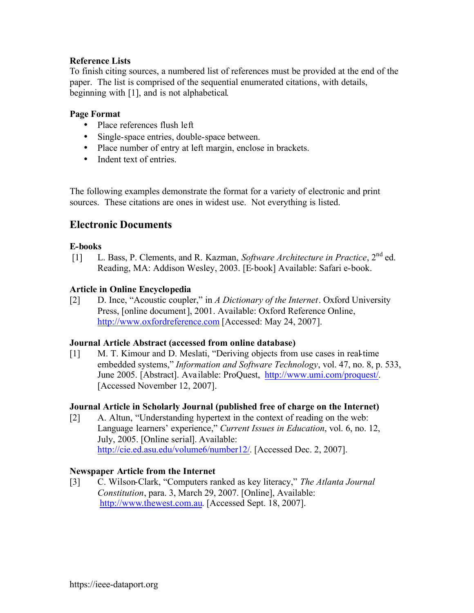#### **Reference Lists**

To finish citing sources, a numbered list of references must be provided at the end of the paper. The list is comprised of the sequential enumerated citations, with details, beginning with [1], and is not alphabetical.

#### **Page Format**

- Place references flush left
- Single-space entries, double-space between.
- Place number of entry at left margin, enclose in brackets.
- Indent text of entries

The following examples demonstrate the format for a variety of electronic and print sources. These citations are ones in widest use. Not everything is listed.

# **Electronic Documents**

#### **E-books**

[1] L. Bass, P. Clements, and R. Kazman, *Software Architecture in Practice*, 2nd ed. Reading, MA: Addison Wesley, 2003. [E-book] Available: Safari e-book.

#### **Article in Online Encyclopedia**

[2] D. Ince, "Acoustic coupler," in *A Dictionary of the Internet*. Oxford University Press, [online document], 2001. Available: Oxford Reference Online, http://www.oxfordreference.com [Accessed: May 24, 2007].

#### **Journal Article Abstract (accessed from online database)**

[1] M. T. Kimour and D. Meslati, "Deriving objects from use cases in real-time embedded systems," *Information and Software Technology*, vol. 47, no. 8, p. 533, June 2005. [Abstract]. Available: ProQuest, http://www.umi.com/proquest/. [Accessed November 12, 2007].

#### **Journal Article in Scholarly Journal (published free of charge on the Internet)**

[2] A. Altun, "Understanding hypertext in the context of reading on the web: Language learners' experience," *Current Issues in Education*, vol. 6, no. 12, July, 2005. [Online serial]. Available: http://cie.ed.asu.edu/volume6/number12/. [Accessed Dec. 2, 2007].

#### **Newspaper Article from the Internet**

[3] C. Wilson-Clark, "Computers ranked as key literacy," *The Atlanta Journal Constitution*, para. 3, March 29, 2007. [Online], Available: http://www.thewest.com.au. [Accessed Sept. 18, 2007].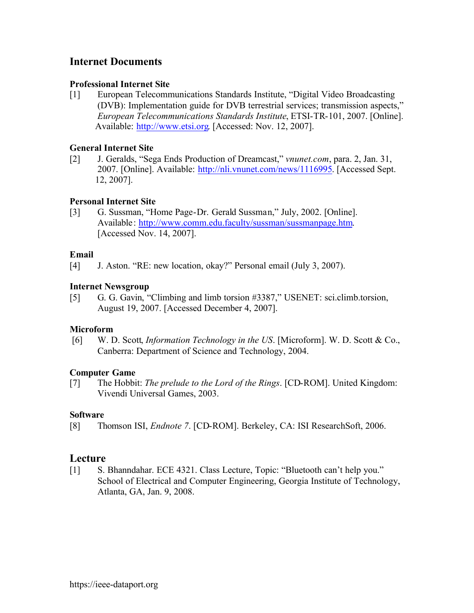# **Internet Documents**

#### **Professional Internet Site**

[1] European Telecommunications Standards Institute, "Digital Video Broadcasting (DVB): Implementation guide for DVB terrestrial services; transmission aspects," *European Telecommunications Standards Institute*, ETSI-TR-101, 2007. [Online]. Available: http://www.etsi.org. [Accessed: Nov. 12, 2007].

#### **General Internet Site**

[2] J. Geralds, "Sega Ends Production of Dreamcast," *vnunet.com*, para. 2, Jan. 31, 2007. [Online]. Available: http://nli.vnunet.com/news/1116995. [Accessed Sept. 12, 2007].

#### **Personal Internet Site**

[3] G. Sussman, "Home Page-Dr. Gerald Sussman," July, 2002. [Online]. Available: http://www.comm.edu.faculty/sussman/sussmanpage.htm. [Accessed Nov. 14, 2007].

#### **Email**

[4] J. Aston. "RE: new location, okay?" Personal email (July 3, 2007).

#### **Internet Newsgroup**

[5] G. G. Gavin, "Climbing and limb torsion #3387," USENET: sci.climb.torsion, August 19, 2007. [Accessed December 4, 2007].

#### **Microform**

[6] W. D. Scott, *Information Technology in the US*. [Microform]. W. D. Scott & Co., Canberra: Department of Science and Technology, 2004.

#### **Computer Game**

[7] The Hobbit: *The prelude to the Lord of the Rings*. [CD-ROM]. United Kingdom: Vivendi Universal Games, 2003.

#### **Software**

[8] Thomson ISI, *Endnote 7*. [CD-ROM]. Berkeley, CA: ISI ResearchSoft, 2006.

## **Lecture**

[1] S. Bhanndahar. ECE 4321. Class Lecture, Topic: "Bluetooth can't help you." School of Electrical and Computer Engineering, Georgia Institute of Technology, Atlanta, GA, Jan. 9, 2008.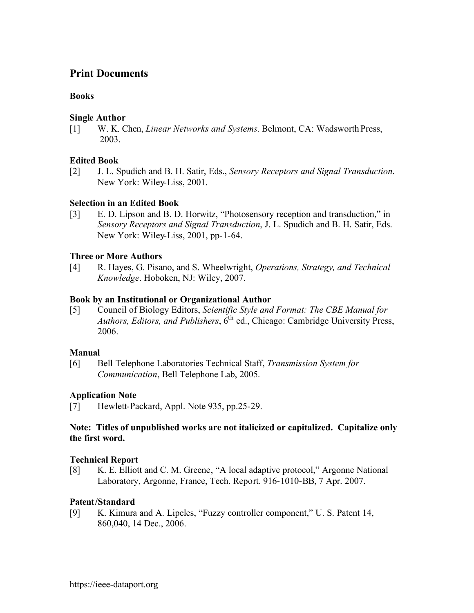# **Print Documents**

#### **Books**

#### **Single Author**

[1] W. K. Chen, *Linear Networks and Systems*. Belmont, CA: WadsworthPress, 2003.

#### **Edited Book**

[2] J. L. Spudich and B. H. Satir, Eds., *Sensory Receptors and Signal Transduction*. New York: Wiley-Liss, 2001.

#### **Selection in an Edited Book**

[3] E. D. Lipson and B. D. Horwitz, "Photosensory reception and transduction," in *Sensory Receptors and Signal Transduction*, J. L. Spudich and B. H. Satir, Eds. New York: Wiley-Liss, 2001, pp-1-64.

#### **Three or More Authors**

[4] R. Hayes, G. Pisano, and S. Wheelwright, *Operations, Strategy, and Technical Knowledge*. Hoboken, NJ: Wiley, 2007.

#### **Book by an Institutional or Organizational Author**

[5] Council of Biology Editors, *Scientific Style and Format: The CBE Manual for Authors, Editors, and Publishers*, 6th ed., Chicago: Cambridge University Press, 2006.

#### **Manual**

[6] Bell Telephone Laboratories Technical Staff, *Transmission System for Communication*, Bell Telephone Lab, 2005.

#### **Application Note**

[7] Hewlett-Packard, Appl. Note 935, pp.25-29.

#### **Note: Titles of unpublished works are not italicized or capitalized. Capitalize only the first word.**

#### **Technical Report**

[8] K. E. Elliott and C. M. Greene, "A local adaptive protocol," Argonne National Laboratory, Argonne, France, Tech. Report. 916-1010-BB, 7 Apr. 2007.

#### **Patent/Standard**

[9] K. Kimura and A. Lipeles, "Fuzzy controller component," U. S. Patent 14, 860,040, 14 Dec., 2006.